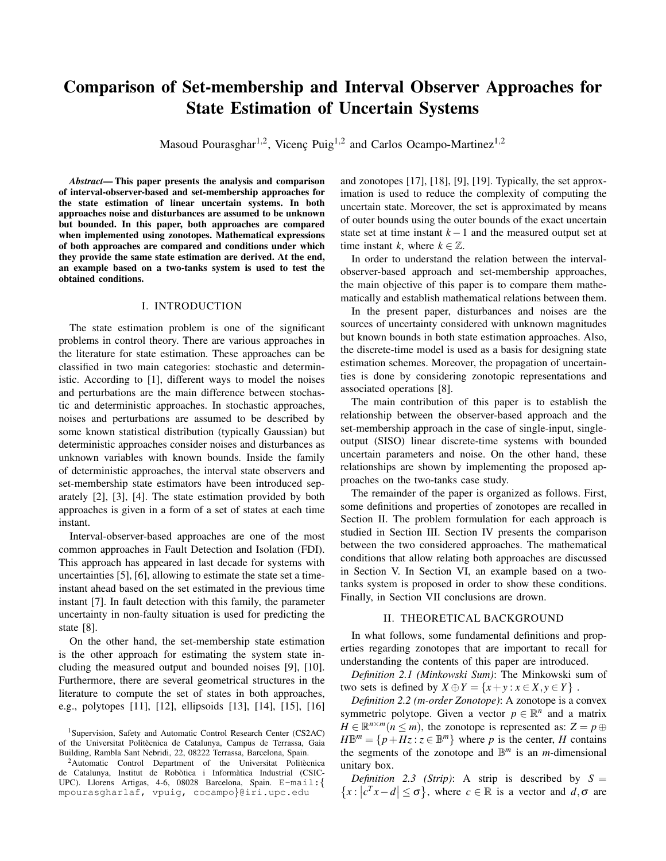# Comparison of Set-membership and Interval Observer Approaches for State Estimation of Uncertain Systems

Masoud Pourasghar<sup>1,2</sup>, Vicenç Puig<sup>1,2</sup> and Carlos Ocampo-Martinez<sup>1,2</sup>

*Abstract*— This paper presents the analysis and comparison of interval-observer-based and set-membership approaches for the state estimation of linear uncertain systems. In both approaches noise and disturbances are assumed to be unknown but bounded. In this paper, both approaches are compared when implemented using zonotopes. Mathematical expressions of both approaches are compared and conditions under which they provide the same state estimation are derived. At the end, an example based on a two-tanks system is used to test the obtained conditions.

# I. INTRODUCTION

The state estimation problem is one of the significant problems in control theory. There are various approaches in the literature for state estimation. These approaches can be classified in two main categories: stochastic and deterministic. According to [1], different ways to model the noises and perturbations are the main difference between stochastic and deterministic approaches. In stochastic approaches, noises and perturbations are assumed to be described by some known statistical distribution (typically Gaussian) but deterministic approaches consider noises and disturbances as unknown variables with known bounds. Inside the family of deterministic approaches, the interval state observers and set-membership state estimators have been introduced separately [2], [3], [4]. The state estimation provided by both approaches is given in a form of a set of states at each time instant.

Interval-observer-based approaches are one of the most common approaches in Fault Detection and Isolation (FDI). This approach has appeared in last decade for systems with uncertainties [5], [6], allowing to estimate the state set a timeinstant ahead based on the set estimated in the previous time instant [7]. In fault detection with this family, the parameter uncertainty in non-faulty situation is used for predicting the state [8].

On the other hand, the set-membership state estimation is the other approach for estimating the system state including the measured output and bounded noises [9], [10]. Furthermore, there are several geometrical structures in the literature to compute the set of states in both approaches, e.g., polytopes [11], [12], ellipsoids [13], [14], [15], [16]

and zonotopes [17], [18], [9], [19]. Typically, the set approximation is used to reduce the complexity of computing the uncertain state. Moreover, the set is approximated by means of outer bounds using the outer bounds of the exact uncertain state set at time instant *k*−1 and the measured output set at time instant *k*, where  $k \in \mathbb{Z}$ .

In order to understand the relation between the intervalobserver-based approach and set-membership approaches, the main objective of this paper is to compare them mathematically and establish mathematical relations between them.

In the present paper, disturbances and noises are the sources of uncertainty considered with unknown magnitudes but known bounds in both state estimation approaches. Also, the discrete-time model is used as a basis for designing state estimation schemes. Moreover, the propagation of uncertainties is done by considering zonotopic representations and associated operations [8].

The main contribution of this paper is to establish the relationship between the observer-based approach and the set-membership approach in the case of single-input, singleoutput (SISO) linear discrete-time systems with bounded uncertain parameters and noise. On the other hand, these relationships are shown by implementing the proposed approaches on the two-tanks case study.

The remainder of the paper is organized as follows. First, some definitions and properties of zonotopes are recalled in Section II. The problem formulation for each approach is studied in Section III. Section IV presents the comparison between the two considered approaches. The mathematical conditions that allow relating both approaches are discussed in Section V. In Section VI, an example based on a twotanks system is proposed in order to show these conditions. Finally, in Section VII conclusions are drown.

## II. THEORETICAL BACKGROUND

In what follows, some fundamental definitions and properties regarding zonotopes that are important to recall for understanding the contents of this paper are introduced.

*Definition 2.1 (Minkowski Sum)*: The Minkowski sum of two sets is defined by  $X \oplus Y = \{x + y : x \in X, y \in Y\}$ .

*Definition 2.2 (m-order Zonotope)*: A zonotope is a convex symmetric polytope. Given a vector  $p \in \mathbb{R}^n$  and a matrix  $H \in \mathbb{R}^{n \times m}$  ( $n \leq m$ ), the zonotope is represented as:  $Z = p \oplus$  $H\mathbb{B}^m = \{p + Hz : z \in \mathbb{B}^m\}$  where *p* is the center, *H* contains the segments of the zonotope and  $\mathbb{B}^m$  is an *m*-dimensional unitary box.

*Definition 2.3 (Strip)*: A strip is described by  $S =$  ${x : |c^T x - d| \leq \sigma}$ , where  $c \in \mathbb{R}$  is a vector and  $d, \sigma$  are

<sup>&</sup>lt;sup>1</sup>Supervision, Safety and Automatic Control Research Center (CS2AC) of the Universitat Politècnica de Catalunya, Campus de Terrassa, Gaia Building, Rambla Sant Nebridi, 22, 08222 Terrassa, Barcelona, Spain.

 $2$ Automatic Control Department of the Universitat Politècnica de Catalunya, Institut de Robòtica i Informàtica Industrial (CSIC-UPC). Llorens Artigas, 4-6, 08028 Barcelona, Spain. E-mail:{ mpourasgharlaf, vpuig, cocampo}@iri.upc.edu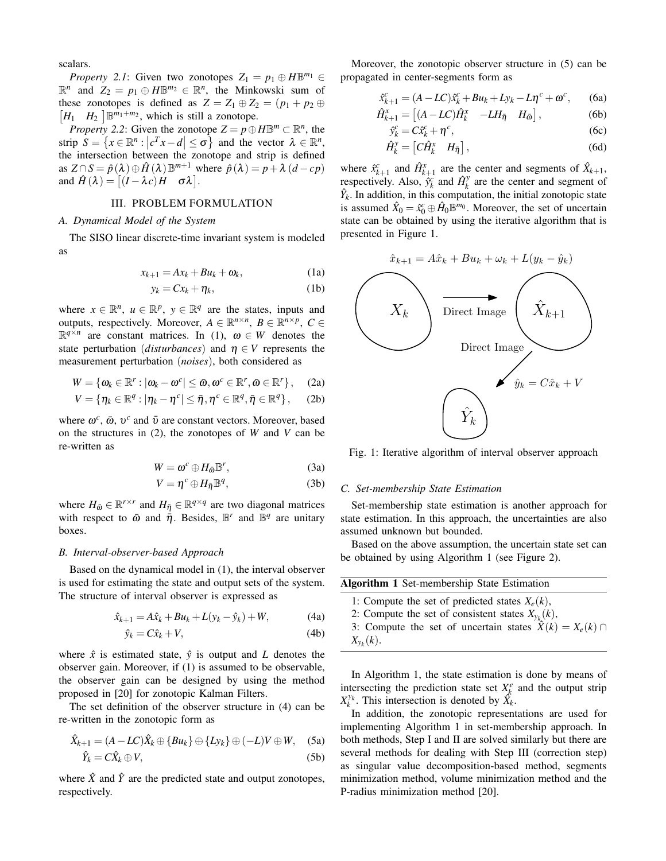scalars.

*Property 2.1*: Given two zonotopes  $Z_1 = p_1 \oplus H \mathbb{B}^{m_1} \in$  $\mathbb{R}^n$  and  $Z_2 = p_1 \oplus H \mathbb{B}^{m_2} \in \mathbb{R}^n$ , the Minkowski sum of these zonotopes is defined as  $Z = Z_1 \oplus Z_2 = (p_1 + p_2 \oplus$  $[H_1 \quad H_2] \mathbb{B}^{m_1+m_2}$ , which is still a zonotope.

*Property* 2.2: Given the zonotope  $Z = p \oplus H \mathbb{B}^m \subset \mathbb{R}^n$ , the strip  $S = \{x \in \mathbb{R}^n : |c^T x - d| \le \sigma\}$  and the vector  $\lambda \in \mathbb{R}^n$ , the intersection between the zonotope and strip is defined as  $Z \cap S = \hat{p}(\lambda) \oplus \hat{H}(\lambda) \mathbb{B}^{m+1}$  where  $\hat{p}(\lambda) = p + \lambda (d - cp)$ and  $\hat{H}(\lambda) = [(I - \lambda c)H \quad \sigma \lambda].$ 

# III. PROBLEM FORMULATION

# *A. Dynamical Model of the System*

The SISO linear discrete-time invariant system is modeled as

$$
x_{k+1} = Ax_k + Bu_k + \omega_k, \qquad (1a)
$$

$$
y_k = Cx_k + \eta_k, \tag{1b}
$$

where  $x \in \mathbb{R}^n$ ,  $u \in \mathbb{R}^p$ ,  $y \in \mathbb{R}^q$  are the states, inputs and outputs, respectively. Moreover,  $A \in \mathbb{R}^{n \times n}$ ,  $B \in \mathbb{R}^{n \times p}$ ,  $C \in$  $\mathbb{R}^{q \times n}$  are constant matrices. In (1),  $\omega \in W$  denotes the state perturbation (*disturbances*) and  $\eta \in V$  represents the measurement perturbation (*noises*), both considered as

$$
W = \{ \boldsymbol{\omega}_k \in \mathbb{R}^r : |\boldsymbol{\omega}_k - \boldsymbol{\omega}^c| \leq \bar{\boldsymbol{\omega}}, \boldsymbol{\omega}^c \in \mathbb{R}^r, \bar{\boldsymbol{\omega}} \in \mathbb{R}^r \}, \quad (2a)
$$

$$
V = \{ \eta_k \in \mathbb{R}^q : |\eta_k - \eta^c| \leq \bar{\eta}, \eta^c \in \mathbb{R}^q, \bar{\eta} \in \mathbb{R}^q \},\qquad(2b)
$$

where  $\omega^c$ ,  $\bar{\omega}$ ,  $v^c$  and  $\bar{v}$  are constant vectors. Moreover, based on the structures in (2), the zonotopes of *W* and *V* can be re-written as

$$
W = \omega^c \oplus H_{\bar{\omega}} \mathbb{B}^r, \tag{3a}
$$

$$
V = \eta^c \oplus H_{\bar{\eta}} \mathbb{B}^q, \tag{3b}
$$

where  $H_{\bar{\omega}} \in \mathbb{R}^{r \times r}$  and  $H_{\bar{\eta}} \in \mathbb{R}^{q \times q}$  are two diagonal matrices with respect to  $\bar{\omega}$  and  $\bar{\eta}$ . Besides,  $\mathbb{B}^r$  and  $\bar{\mathbb{B}}^q$  are unitary boxes.

#### *B. Interval-observer-based Approach*

Based on the dynamical model in (1), the interval observer is used for estimating the state and output sets of the system. The structure of interval observer is expressed as

$$
\hat{x}_{k+1} = A\hat{x}_k + Bu_k + L(y_k - \hat{y}_k) + W,
$$
 (4a)

$$
\hat{y}_k = C\hat{x}_k + V,\tag{4b}
$$

where  $\hat{x}$  is estimated state,  $\hat{y}$  is output and *L* denotes the observer gain. Moreover, if (1) is assumed to be observable, the observer gain can be designed by using the method proposed in [20] for zonotopic Kalman Filters.

The set definition of the observer structure in (4) can be re-written in the zonotopic form as

$$
\hat{X}_{k+1} = (A - LC)\hat{X}_k \oplus \{Bu_k\} \oplus \{Ly_k\} \oplus (-L)V \oplus W, \quad (5a)
$$

$$
\hat{Y}_k = C\hat{X}_k \oplus V,\tag{5b}
$$

where  $\hat{X}$  and  $\hat{Y}$  are the predicted state and output zonotopes, respectively.

Moreover, the zonotopic observer structure in (5) can be propagated in center-segments form as

$$
\hat{x}_{k+1}^c = (A - LC)\hat{x}_k^c + Bu_k + Ly_k - L\eta^c + \omega^c,\qquad(6a)
$$

$$
\hat{H}_{k+1}^x = \begin{bmatrix} (A - LC)\hat{H}_k^x & -LH_{\bar{\eta}} & H_{\bar{\omega}} \end{bmatrix},\tag{6b}
$$

$$
\hat{y}_k^c = C\hat{x}_k^c + \eta^c,\tag{6c}
$$

$$
\hat{H}_k^y = \begin{bmatrix} C\hat{H}_k^x & H_{\bar{\eta}} \end{bmatrix},\tag{6d}
$$

where  $\hat{x}_{k+1}^c$  and  $\hat{H}_{k+1}^x$  are the center and segments of  $\hat{X}_{k+1}$ , respectively. Also,  $\hat{y}_k^c$  and  $\hat{H}_k^y$  $\frac{y}{k}$  are the center and segment of  $\hat{Y}_k$ . In addition, in this computation, the initial zonotopic state is assumed  $\hat{X}_0 = \hat{x}_0^c \oplus \hat{H}_0 \mathbb{B}^{m_0}$ . Moreover, the set of uncertain state can be obtained by using the iterative algorithm that is presented in Figure 1.



Fig. 1: Iterative algorithm of interval observer approach

## *C. Set-membership State Estimation*

Set-membership state estimation is another approach for state estimation. In this approach, the uncertainties are also assumed unknown but bounded.

Based on the above assumption, the uncertain state set can be obtained by using Algorithm 1 (see Figure 2).

| <b>Algorithm 1 Set-membership State Estimation</b>                |
|-------------------------------------------------------------------|
| 1: Compute the set of predicted states $X_e(k)$ ,                 |
| 2: Compute the set of consistent states $X_{y_k}(k)$ ,            |
| 3: Compute the set of uncertain states $\hat{X}(k) = X_e(k) \cap$ |
| $X_{v_k}(k)$ .                                                    |

In Algorithm 1, the state estimation is done by means of intersecting the prediction state set  $X^e_k$  and the output strip  $X_k^{y_k}$ . This intersection is denoted by  $\hat{X}_k$ .

In addition, the zonotopic representations are used for implementing Algorithm 1 in set-membership approach. In both methods, Step I and II are solved similarly but there are several methods for dealing with Step III (correction step) as singular value decomposition-based method, segments minimization method, volume minimization method and the P-radius minimization method [20].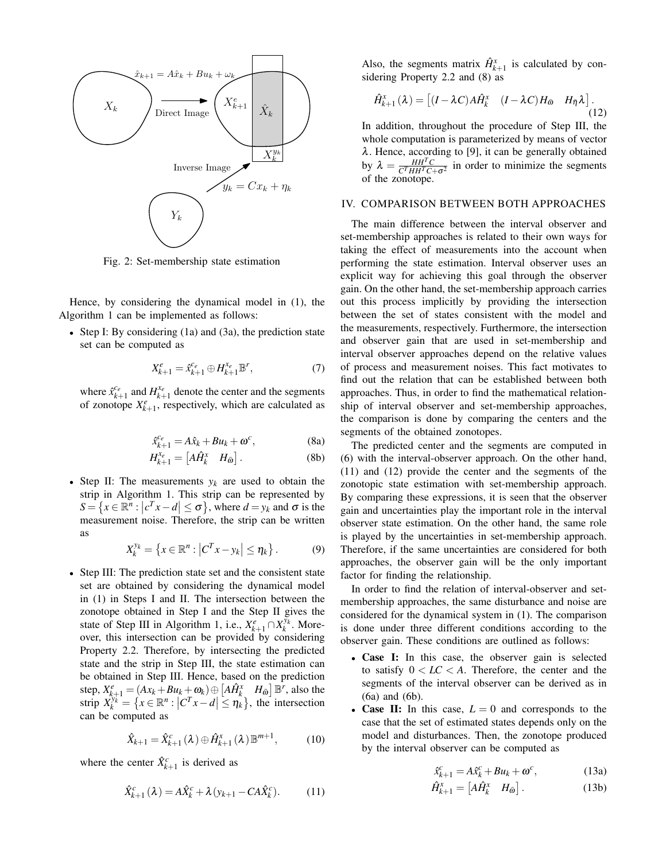

Fig. 2: Set-membership state estimation

Hence, by considering the dynamical model in (1), the Algorithm 1 can be implemented as follows:

• Step I: By considering (1a) and (3a), the prediction state set can be computed as

$$
X_{k+1}^e = \hat{x}_{k+1}^{c_e} \oplus H_{k+1}^{x_e} \mathbb{B}^r, \tag{7}
$$

where  $\hat{x}_{k+1}^{c_e}$  and  $H_{k+1}^{x_e}$  denote the center and the segments of zonotope  $X_{k+1}^e$ , respectively, which are calculated as

$$
\hat{x}_{k+1}^{c_e} = A\hat{x}_k + Bu_k + \omega^c, \tag{8a}
$$

$$
H_{k+1}^{x_e} = \begin{bmatrix} A\hat{H}_k^x & H_{\bar{\omega}} \end{bmatrix} . \tag{8b}
$$

• Step II: The measurements  $y_k$  are used to obtain the strip in Algorithm 1. This strip can be represented by  $S = \left\{ x \in \mathbb{R}^n : \left| c^T x - d \right| \le \sigma \right\}$ , where  $d = y_k$  and  $\sigma$  is the measurement noise. Therefore, the strip can be written as

$$
X_k^{y_k} = \left\{ x \in \mathbb{R}^n : \left| C^T x - y_k \right| \leq \eta_k \right\}.
$$
 (9)

• Step III: The prediction state set and the consistent state set are obtained by considering the dynamical model in (1) in Steps I and II. The intersection between the zonotope obtained in Step I and the Step II gives the state of Step III in Algorithm 1, i.e.,  $X_{k+1}^e \cap X_k^{y_k}$ . Moreover, this intersection can be provided by considering Property 2.2. Therefore, by intersecting the predicted state and the strip in Step III, the state estimation can be obtained in Step III. Hence, based on the prediction step,  $X_{k+1}^e = (Ax_k + Bu_k + \omega_k) \oplus [A\hat{H}_k^x, H_{\tilde{\omega}}] \mathbb{B}^r$ , also the strip  $X_k^{y_k^-} = \{ x \in \mathbb{R}^n : |C^T x - d| \leq \eta_k^x \}$ , the intersection can be computed as

$$
\hat{X}_{k+1} = \hat{X}_{k+1}^c(\lambda) \oplus \hat{H}_{k+1}^x(\lambda) \mathbb{B}^{m+1},
$$
 (10)

where the center  $\hat{X}_{k+1}^c$  is derived as

$$
\hat{X}_{k+1}^c(\lambda) = A\hat{X}_k^c + \lambda (y_{k+1} - CA\hat{X}_k^c).
$$
 (11)

Also, the segments matrix  $\hat{H}_{k+1}^x$  is calculated by considering Property 2.2 and (8) as

$$
\hat{H}_{k+1}^{x}(\lambda) = \begin{bmatrix} (I - \lambda C)A\hat{H}_{k}^{x} & (I - \lambda C)H_{\bar{\omega}} & H_{\bar{\eta}}\lambda \end{bmatrix}.
$$
\n(12)

In addition, throughout the procedure of Step III, the whole computation is parameterized by means of vector  $\lambda$ . Hence, according to [9], it can be generally obtained by  $\lambda = \frac{HH^TC}{C^THH^TC}$  $\frac{HH^2C}{C^THH^TC+\sigma^2}$  in order to minimize the segments of the zonotope.

# IV. COMPARISON BETWEEN BOTH APPROACHES

The main difference between the interval observer and set-membership approaches is related to their own ways for taking the effect of measurements into the account when performing the state estimation. Interval observer uses an explicit way for achieving this goal through the observer gain. On the other hand, the set-membership approach carries out this process implicitly by providing the intersection between the set of states consistent with the model and the measurements, respectively. Furthermore, the intersection and observer gain that are used in set-membership and interval observer approaches depend on the relative values of process and measurement noises. This fact motivates to find out the relation that can be established between both approaches. Thus, in order to find the mathematical relationship of interval observer and set-membership approaches, the comparison is done by comparing the centers and the segments of the obtained zonotopes.

The predicted center and the segments are computed in (6) with the interval-observer approach. On the other hand, (11) and (12) provide the center and the segments of the zonotopic state estimation with set-membership approach. By comparing these expressions, it is seen that the observer gain and uncertainties play the important role in the interval observer state estimation. On the other hand, the same role is played by the uncertainties in set-membership approach. Therefore, if the same uncertainties are considered for both approaches, the observer gain will be the only important factor for finding the relationship.

In order to find the relation of interval-observer and setmembership approaches, the same disturbance and noise are considered for the dynamical system in (1). The comparison is done under three different conditions according to the observer gain. These conditions are outlined as follows:

- Case I: In this case, the observer gain is selected to satisfy  $0 < LC < A$ . Therefore, the center and the segments of the interval observer can be derived as in (6a) and (6b).
- Case II: In this case,  $L = 0$  and corresponds to the case that the set of estimated states depends only on the model and disturbances. Then, the zonotope produced by the interval observer can be computed as

$$
\hat{x}_{k+1}^c = A\hat{x}_k^c + Bu_k + \omega^c,\tag{13a}
$$

$$
\hat{H}_{k+1}^x = \begin{bmatrix} A\hat{H}_k^x & H_{\bar{\omega}} \end{bmatrix} . \tag{13b}
$$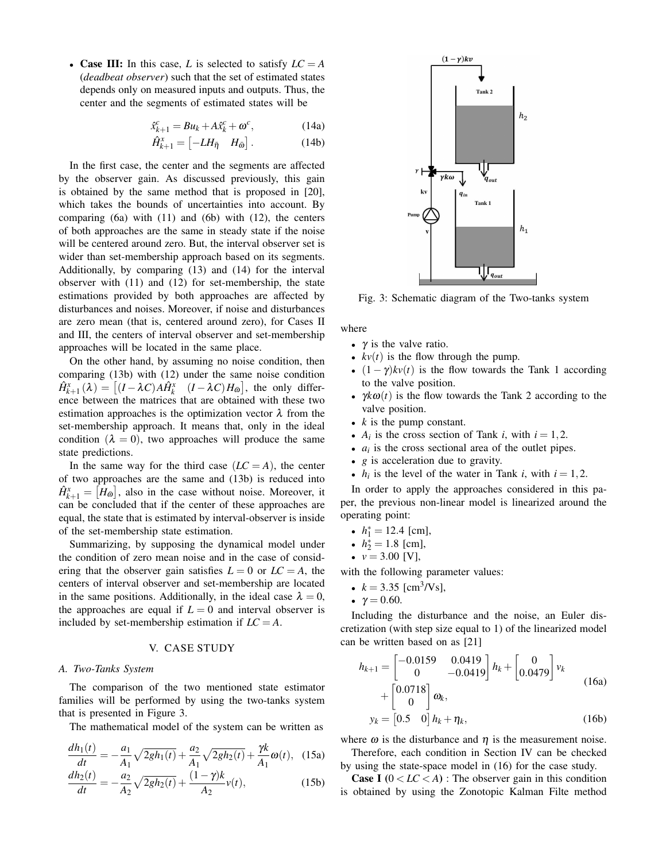• Case III: In this case, *L* is selected to satisfy  $LC = A$ (*deadbeat observer*) such that the set of estimated states depends only on measured inputs and outputs. Thus, the center and the segments of estimated states will be

$$
\hat{x}_{k+1}^c = Bu_k + A\hat{x}_k^c + \omega^c, \qquad (14a)
$$

$$
\hat{H}_{k+1}^x = \begin{bmatrix} -LH_{\bar{\eta}} & H_{\bar{\omega}} \end{bmatrix} . \tag{14b}
$$

In the first case, the center and the segments are affected by the observer gain. As discussed previously, this gain is obtained by the same method that is proposed in [20], which takes the bounds of uncertainties into account. By comparing  $(6a)$  with  $(11)$  and  $(6b)$  with  $(12)$ , the centers of both approaches are the same in steady state if the noise will be centered around zero. But, the interval observer set is wider than set-membership approach based on its segments. Additionally, by comparing (13) and (14) for the interval observer with (11) and (12) for set-membership, the state estimations provided by both approaches are affected by disturbances and noises. Moreover, if noise and disturbances are zero mean (that is, centered around zero), for Cases II and III, the centers of interval observer and set-membership approaches will be located in the same place.

On the other hand, by assuming no noise condition, then comparing (13b) with (12) under the same noise condition  $\hat{H}_{k+1}^x(\lambda) = \left[ (I - \lambda C) A \hat{H}_k^x \quad (I - \lambda C) H_{\bar{\omega}} \right]$ , the only difference between the matrices that are obtained with these two estimation approaches is the optimization vector  $\lambda$  from the set-membership approach. It means that, only in the ideal condition  $(\lambda = 0)$ , two approaches will produce the same state predictions.

In the same way for the third case  $(LC = A)$ , the center of two approaches are the same and (13b) is reduced into  $\hat{H}_{k+1}^x = [H_{\bar{\omega}}]$ , also in the case without noise. Moreover, it can be concluded that if the center of these approaches are equal, the state that is estimated by interval-observer is inside of the set-membership state estimation.

Summarizing, by supposing the dynamical model under the condition of zero mean noise and in the case of considering that the observer gain satisfies  $L = 0$  or  $LC = A$ , the centers of interval observer and set-membership are located in the same positions. Additionally, in the ideal case  $\lambda = 0$ , the approaches are equal if  $L = 0$  and interval observer is included by set-membership estimation if  $LC = A$ .

## V. CASE STUDY

# *A. Two-Tanks System*

The comparison of the two mentioned state estimator families will be performed by using the two-tanks system that is presented in Figure 3.

The mathematical model of the system can be written as

$$
\frac{dh_1(t)}{dt} = -\frac{a_1}{A_1}\sqrt{2gh_1(t)} + \frac{a_2}{A_1}\sqrt{2gh_2(t)} + \frac{\gamma k}{A_1}\omega(t), \quad (15a)
$$

$$
\frac{dh_2(t)}{dt} = -\frac{a_2}{A_2}\sqrt{2gh_2(t)} + \frac{(1-\gamma)k}{A_2}v(t),\tag{15b}
$$



Fig. 3: Schematic diagram of the Two-tanks system

where

- $\gamma$  is the valve ratio.
- $kv(t)$  is the flow through the pump.
- $(1 \gamma)kv(t)$  is the flow towards the Tank 1 according to the valve position.
- $\gamma k\omega(t)$  is the flow towards the Tank 2 according to the valve position.
- *k* is the pump constant.
- $A_i$  is the cross section of Tank *i*, with  $i = 1, 2$ .
- $a_i$  is the cross sectional area of the outlet pipes.
- *g* is acceleration due to gravity.
- $h_i$  is the level of the water in Tank *i*, with  $i = 1, 2$ .

In order to apply the approaches considered in this paper, the previous non-linear model is linearized around the operating point:

- $h_1^* = 12.4$  [cm],
- $h_2^* = 1.8$  [cm],
- $v = 3.00$  [V],

with the following parameter values:

- $k = 3.35$  [cm<sup>3</sup>/Vs],
- $\gamma = 0.60$ .

Including the disturbance and the noise, an Euler discretization (with step size equal to 1) of the linearized model can be written based on as [21]

$$
h_{k+1} = \begin{bmatrix} -0.0159 & 0.0419 \\ 0 & -0.0419 \end{bmatrix} h_k + \begin{bmatrix} 0 \\ 0.0479 \end{bmatrix} v_k
$$
  
+ 
$$
\begin{bmatrix} 0.0718 \\ 0 \end{bmatrix} \omega_k,
$$
  

$$
y_k = \begin{bmatrix} 0.5 & 0 \end{bmatrix} h_k + \eta_k,
$$
 (16b)

where  $\omega$  is the disturbance and  $\eta$  is the measurement noise. Therefore, each condition in Section IV can be checked

by using the state-space model in (16) for the case study.

**Case I**  $(0 < LC < A)$ : The observer gain in this condition is obtained by using the Zonotopic Kalman Filte method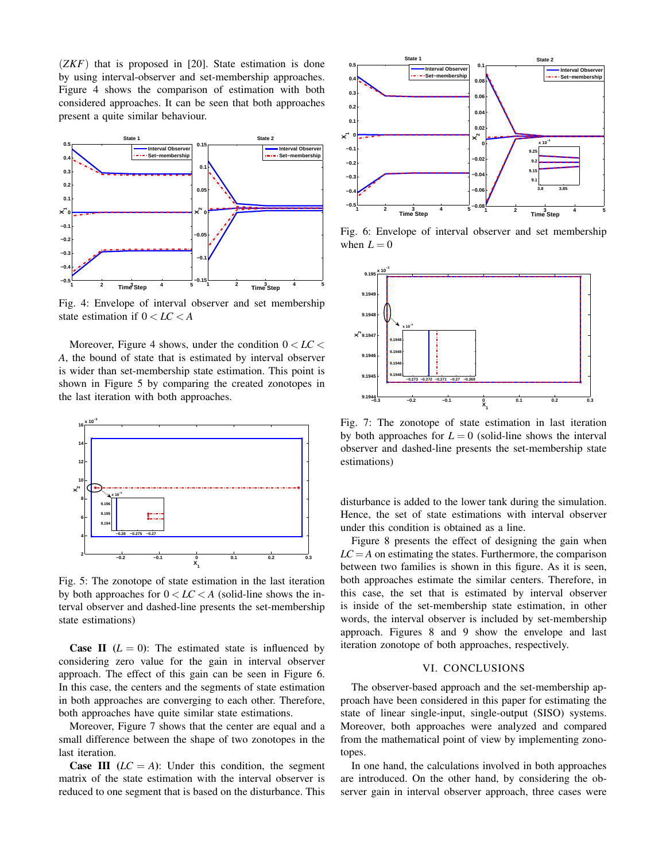(*ZKF*) that is proposed in [20]. State estimation is done by using interval-observer and set-membership approaches. Figure 4 shows the comparison of estimation with both considered approaches. It can be seen that both approaches present a quite similar behaviour.



Fig. 4: Envelope of interval observer and set membership state estimation if 0 < *LC* < *A*

Moreover, Figure 4 shows, under the condition  $0 < LC <$ *A*, the bound of state that is estimated by interval observer is wider than set-membership state estimation. This point is shown in Figure 5 by comparing the created zonotopes in the last iteration with both approaches.



Fig. 5: The zonotope of state estimation in the last iteration by both approaches for  $0 < LC < A$  (solid-line shows the interval observer and dashed-line presents the set-membership state estimations)

**Case II**  $(L = 0)$ : The estimated state is influenced by considering zero value for the gain in interval observer approach. The effect of this gain can be seen in Figure 6. In this case, the centers and the segments of state estimation in both approaches are converging to each other. Therefore, both approaches have quite similar state estimations.

Moreover, Figure 7 shows that the center are equal and a small difference between the shape of two zonotopes in the last iteration.

**Case III**  $(LC = A)$ : Under this condition, the segment matrix of the state estimation with the interval observer is reduced to one segment that is based on the disturbance. This



Fig. 6: Envelope of interval observer and set membership when  $L = 0$ 



Fig. 7: The zonotope of state estimation in last iteration by both approaches for  $L = 0$  (solid-line shows the interval observer and dashed-line presents the set-membership state estimations)

disturbance is added to the lower tank during the simulation. Hence, the set of state estimations with interval observer under this condition is obtained as a line.

Figure 8 presents the effect of designing the gain when  $LC = A$  on estimating the states. Furthermore, the comparison between two families is shown in this figure. As it is seen, both approaches estimate the similar centers. Therefore, in this case, the set that is estimated by interval observer is inside of the set-membership state estimation, in other words, the interval observer is included by set-membership approach. Figures 8 and 9 show the envelope and last iteration zonotope of both approaches, respectively.

# VI. CONCLUSIONS

The observer-based approach and the set-membership approach have been considered in this paper for estimating the state of linear single-input, single-output (SISO) systems. Moreover, both approaches were analyzed and compared from the mathematical point of view by implementing zonotopes.

In one hand, the calculations involved in both approaches are introduced. On the other hand, by considering the observer gain in interval observer approach, three cases were